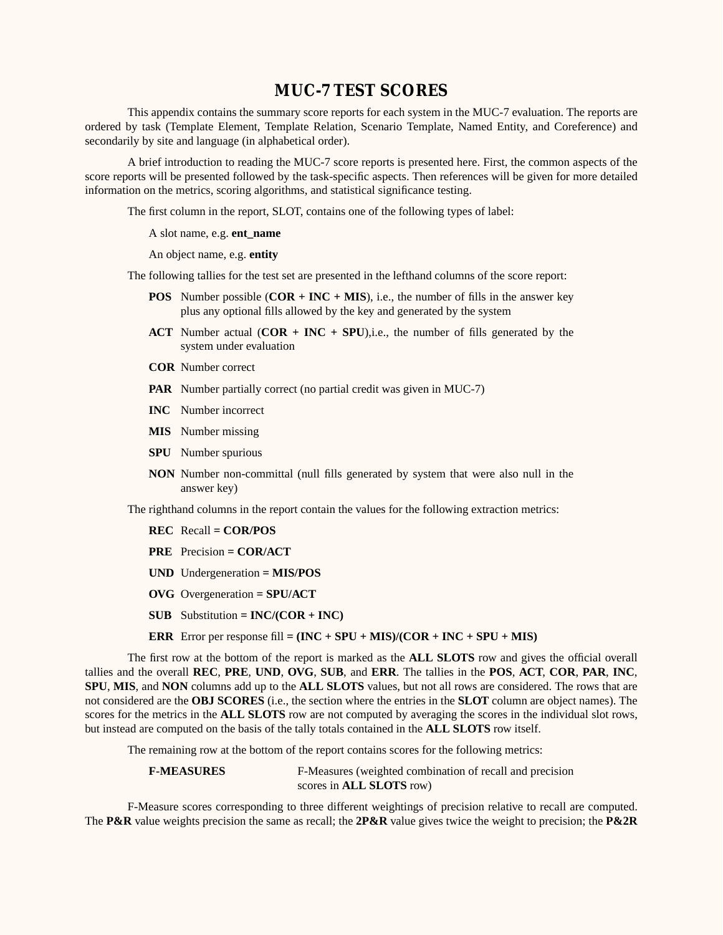# **MUC-7 TEST SCORES**

This appendix contains the summary score reports for each system in the MUC-7 evaluation. The reports are ordered by task (Template Element, Template Relation, Scenario Template, Named Entity, and Coreference) and secondarily by site and language (in alphabetical order).

A brief introduction to reading the MUC-7 score reports is presented here. First, the common aspects of the score reports will be presented followed by the task-specific aspects. Then references will be given for more detailed information on the metrics, scoring algorithms, and statistical significance testing.

The first column in the report, SLOT, contains one of the following types of label:

A slot name, e.g. **ent\_name**

An object name, e.g. **entity**

The following tallies for the test set are presented in the lefthand columns of the score report:

- **POS** Number possible (**COR + INC + MIS**), i.e., the number of fills in the answer key plus any optional fills allowed by the key and generated by the system
- **ACT** Number actual (**COR + INC + SPU**),i.e., the number of fills generated by the system under evaluation
- **COR** Number correct
- **PAR** Number partially correct (no partial credit was given in MUC-7)
- **INC** Number incorrect
- **MIS** Number missing
- **SPU** Number spurious
- **NON** Number non-committal (null fills generated by system that were also null in the answer key)

The righthand columns in the report contain the values for the following extraction metrics:

- **REC** Recall **= COR/POS**
- **PRE** Precision **= COR/ACT**
- **UND** Undergeneration **= MIS/POS**
- **OVG** Overgeneration **= SPU/ACT**
- **SUB** Substitution =  $INC/(COR + INC)$
- **ERR** Error per response fill **= (INC + SPU + MIS)/(COR + INC + SPU + MIS)**

The first row at the bottom of the report is marked as the **ALL SLOTS** row and gives the official overall tallies and the overall **REC**, **PRE**, **UND**, **OVG**, **SUB**, and **ERR**. The tallies in the **POS**, **ACT**, **COR**, **PAR**, **INC**, **SPU**, **MIS**, and **NON** columns add up to the **ALL SLOTS** values, but not all rows are considered. The rows that are not considered are the **OBJ SCORES** (i.e., the section where the entries in the **SLOT** column are object names). The scores for the metrics in the **ALL SLOTS** row are not computed by averaging the scores in the individual slot rows, but instead are computed on the basis of the tally totals contained in the **ALL SLOTS** row itself.

The remaining row at the bottom of the report contains scores for the following metrics:

| <b>F-MEASURES</b> | F-Measures (weighted combination of recall and precision |
|-------------------|----------------------------------------------------------|
|                   | scores in <b>ALL SLOTS</b> row)                          |

F-Measure scores corresponding to three different weightings of precision relative to recall are computed. The **P&R** value weights precision the same as recall; the **2P&R** value gives twice the weight to precision; the **P&2R**